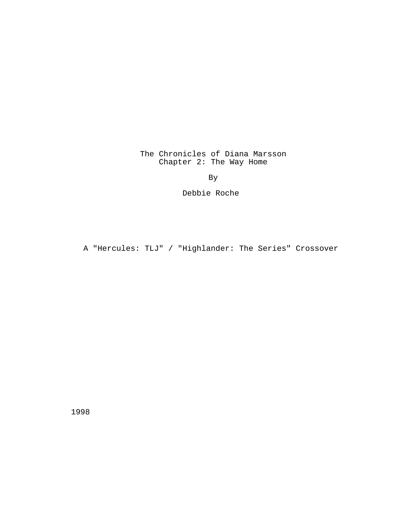The Chronicles of Diana Marsson Chapter 2: The Way Home

By

Debbie Roche

A "Hercules: TLJ" / "Highlander: The Series" Crossover

1998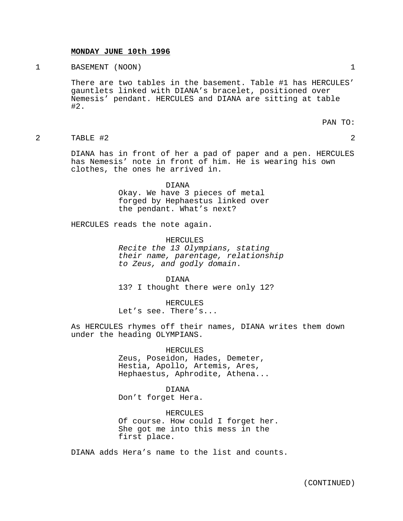## **MONDAY JUNE 10th 1996**

## 1 BASEMENT (NOON) 1

There are two tables in the basement. Table #1 has HERCULES' gauntlets linked with DIANA's bracelet, positioned over Nemesis' pendant. HERCULES and DIANA are sitting at table #2.

PAN TO:

2 TABLE #2 2

DIANA has in front of her a pad of paper and a pen. HERCULES has Nemesis' note in front of him. He is wearing his own clothes, the ones he arrived in.

> DIANA Okay. We have 3 pieces of metal forged by Hephaestus linked over the pendant. What's next?

HERCULES reads the note again.

HERCULES Recite the 13 Olympians, stating their name, parentage, relationship to Zeus, and godly domain.

DIANA 13? I thought there were only 12?

HERCULES Let's see. There's...

As HERCULES rhymes off their names, DIANA writes them down under the heading OLYMPIANS.

> HERCULES Zeus, Poseidon, Hades, Demeter, Hestia, Apollo, Artemis, Ares, Hephaestus, Aphrodite, Athena...

DIANA Don't forget Hera.

HERCULES Of course. How could I forget her. She got me into this mess in the first place.

DIANA adds Hera's name to the list and counts.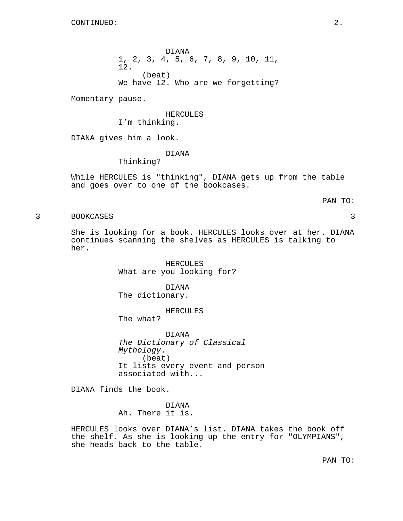DIANA 1, 2, 3, 4, 5, 6, 7, 8, 9, 10, 11, 12. (beat) We have 12. Who are we forgetting?

Momentary pause.

HERCULES I'm thinking.

DIANA gives him a look.

## DIANA

Thinking?

While HERCULES is "thinking", DIANA gets up from the table and goes over to one of the bookcases.

## PAN TO:

3 BOOKCASES 3

She is looking for a book. HERCULES looks over at her. DIANA continues scanning the shelves as HERCULES is talking to her.

> HERCULES What are you looking for?

DIANA The dictionary.

HERCULES The what?

DIANA The Dictionary of Classical Mythology. (beat) It lists every event and person associated with...

DIANA finds the book.

DIANA Ah. There it is.

HERCULES looks over DIANA's list. DIANA takes the book off the shelf. As she is looking up the entry for "OLYMPIANS", she heads back to the table.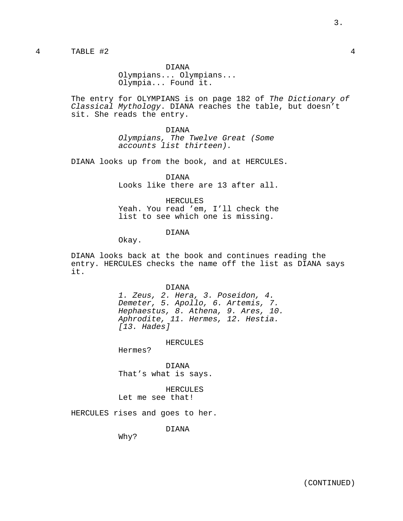DIANA Olympians... Olympians... Olympia... Found it.

The entry for OLYMPIANS is on page 182 of The Dictionary of Classical Mythology. DIANA reaches the table, but doesn't sit. She reads the entry.

> DIANA Olympians, The Twelve Great (Some accounts list thirteen).

DIANA looks up from the book, and at HERCULES.

DIANA Looks like there are 13 after all.

HERCULES Yeah. You read 'em, I'll check the list to see which one is missing.

## DIANA

Okay.

DIANA looks back at the book and continues reading the entry. HERCULES checks the name off the list as DIANA says it.

#### DIANA

1. Zeus, 2. Hera, 3. Poseidon, 4. Demeter, 5. Apollo, 6. Artemis, 7. Hephaestus, 8. Athena, 9. Ares, 10. Aphrodite, 11. Hermes, 12. Hestia. [13. Hades]

HERCULES

Hermes?

DIANA That's what is says.

HERCULES Let me see that!

HERCULES rises and goes to her.

DIANA

Why?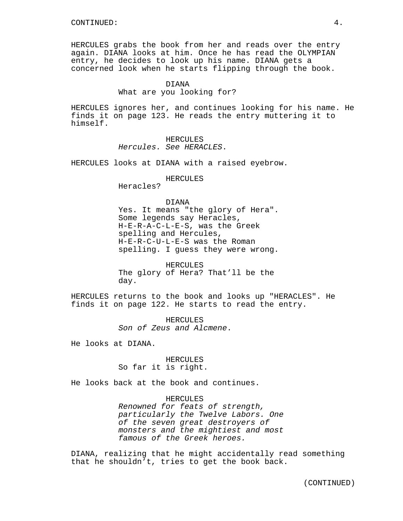HERCULES grabs the book from her and reads over the entry again. DIANA looks at him. Once he has read the OLYMPIAN entry, he decides to look up his name. DIANA gets a concerned look when he starts flipping through the book.

#### DIANA

What are you looking for?

HERCULES ignores her, and continues looking for his name. He finds it on page 123. He reads the entry muttering it to himself.

> HERCULES Hercules. See HERACLES.

HERCULES looks at DIANA with a raised eyebrow.

#### HERCULES

Heracles?

## DIANA

Yes. It means "the glory of Hera". Some legends say Heracles, H-E-R-A-C-L-E-S, was the Greek spelling and Hercules, H-E-R-C-U-L-E-S was the Roman spelling. I guess they were wrong.

HERCULES The glory of Hera? That'll be the day.

HERCULES returns to the book and looks up "HERACLES". He finds it on page 122. He starts to read the entry.

> HERCULES Son of Zeus and Alcmene.

He looks at DIANA.

## HERCULES So far it is right.

He looks back at the book and continues.

## HERCULES

Renowned for feats of strength, particularly the Twelve Labors. One of the seven great destroyers of monsters and the mightiest and most famous of the Greek heroes.

DIANA, realizing that he might accidentally read something that he shouldn't, tries to get the book back.

(CONTINUED)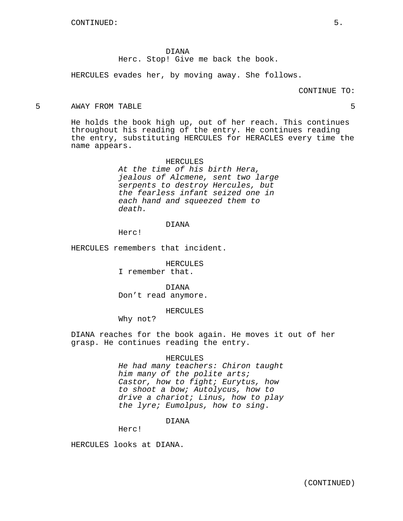DIANA Herc. Stop! Give me back the book.

HERCULES evades her, by moving away. She follows.

CONTINUE TO:

#### 5 AWAY FROM TABLE 5

He holds the book high up, out of her reach. This continues throughout his reading of the entry. He continues reading the entry, substituting HERCULES for HERACLES every time the name appears.

> HERCULES At the time of his birth Hera, jealous of Alcmene, sent two large serpents to destroy Hercules, but the fearless infant seized one in each hand and squeezed them to death.

#### DIANA

Herc!

HERCULES remembers that incident.

HERCULES I remember that.

DIANA Don't read anymore.

#### HERCULES

Why not?

DIANA reaches for the book again. He moves it out of her grasp. He continues reading the entry.

#### HERCULES

He had many teachers: Chiron taught him many of the polite arts; Castor, how to fight; Eurytus, how to shoot a bow; Autolycus, how to drive a chariot; Linus, how to play the lyre; Eumolpus, how to sing.

## DIANA

Herc!

HERCULES looks at DIANA.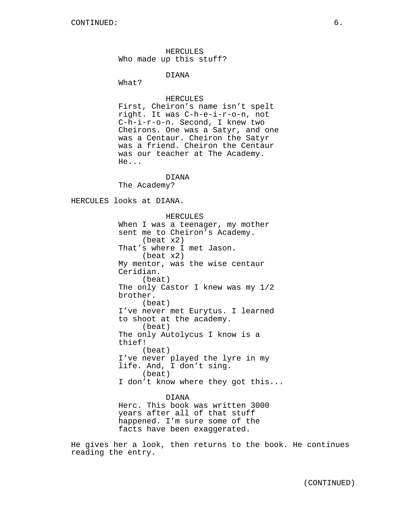HERCULES Who made up this stuff?

DIANA

What?

## HERCULES

First, Cheiron's name isn't spelt right. It was C-h-e-i-r-o-n, not C-h-i-r-o-n. Second, I knew two Cheirons. One was a Satyr, and one was a Centaur. Cheiron the Satyr was a friend. Cheiron the Centaur was our teacher at The Academy. He...

## DIANA

The Academy?

HERCULES looks at DIANA.

HERCULES When I was a teenager, my mother sent me to Cheiron's Academy. (beat x2) That's where I met Jason. (beat x2) My mentor, was the wise centaur Ceridian. (beat) The only Castor I knew was my 1/2 brother. (beat) I've never met Eurytus. I learned to shoot at the academy. (beat) The only Autolycus I know is a thief! (beat) I've never played the lyre in my life. And, I don't sing. (beat) I don't know where they got this...

#### DIANA

Herc. This book was written 3000 years after all of that stuff happened. I'm sure some of the facts have been exaggerated.

He gives her a look, then returns to the book. He continues reading the entry.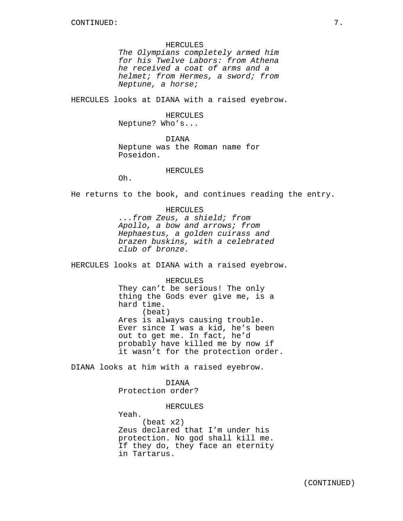#### HERCULES

The Olympians completely armed him for his Twelve Labors: from Athena he received a coat of arms and a helmet; from Hermes, a sword; from Neptune, a horse;

HERCULES looks at DIANA with a raised eyebrow.

#### HERCULES

Neptune? Who's...

DIANA

Neptune was the Roman name for Poseidon.

## HERCULES

Oh.

He returns to the book, and continues reading the entry.

HERCULES ...from Zeus, a shield; from Apollo, a bow and arrows; from Hephaestus, a golden cuirass and brazen buskins, with a celebrated club of bronze.

HERCULES looks at DIANA with a raised eyebrow.

HERCULES They can't be serious! The only thing the Gods ever give me, is a hard time. (beat) Ares is always causing trouble. Ever since I was a kid, he's been out to get me. In fact, he'd probably have killed me by now if it wasn't for the protection order.

DIANA looks at him with a raised eyebrow.

DIANA

Protection order?

HERCULES

Yeah.

(beat x2) Zeus declared that I'm under his protection. No god shall kill me. If they do, they face an eternity in Tartarus.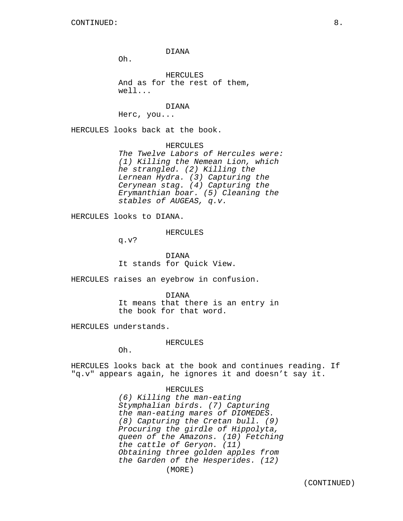Oh.

HERCULES And as for the rest of them, well...

DIANA

Herc, you...

HERCULES looks back at the book.

HERCULES The Twelve Labors of Hercules were: (1) Killing the Nemean Lion, which he strangled. (2) Killing the Lernean Hydra. (3) Capturing the Cerynean stag. (4) Capturing the Erymanthian boar. (5) Cleaning the stables of AUGEAS, q.v.

HERCULES looks to DIANA.

HERCULES

q.v?

DIANA It stands for Quick View.

HERCULES raises an eyebrow in confusion.

the book for that word.

DIANA It means that there is an entry in

HERCULES understands.

HERCULES

Oh.

HERCULES looks back at the book and continues reading. If "q.v" appears again, he ignores it and doesn't say it.

#### HERCULES

(6) Killing the man-eating Stymphalian birds. (7) Capturing the man-eating mares of DIOMEDES. (8) Capturing the Cretan bull. (9) Procuring the girdle of Hippolyta, queen of the Amazons. (10) Fetching the cattle of Geryon. (11) Obtaining three golden apples from the Garden of the Hesperides. (12) (MORE)

(CONTINUED)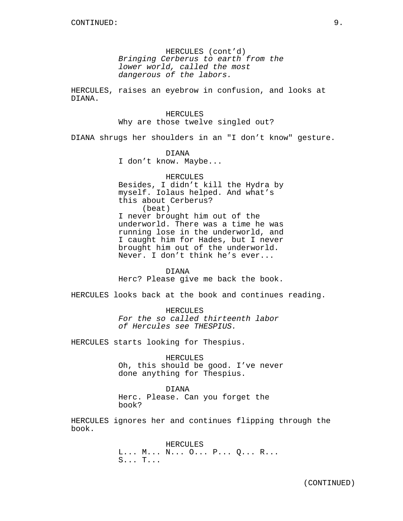HERCULES (cont'd) Bringing Cerberus to earth from the lower world, called the most dangerous of the labors.

HERCULES, raises an eyebrow in confusion, and looks at DIANA.

> HERCULES Why are those twelve singled out?

DIANA shrugs her shoulders in an "I don't know" gesture.

DIANA

I don't know. Maybe...

HERCULES Besides, I didn't kill the Hydra by myself. Iolaus helped. And what's this about Cerberus? (beat) I never brought him out of the underworld. There was a time he was running lose in the underworld, and I caught him for Hades, but I never brought him out of the underworld. Never. I don't think he's ever...

DIANA

Herc? Please give me back the book.

HERCULES looks back at the book and continues reading.

HERCULES For the so called thirteenth labor of Hercules see THESPIUS.

HERCULES starts looking for Thespius.

HERCULES Oh, this should be good. I've never done anything for Thespius.

DIANA Herc. Please. Can you forget the book?

HERCULES ignores her and continues flipping through the book.

> HERCULES L... M... N... O... P... Q... R... S... T...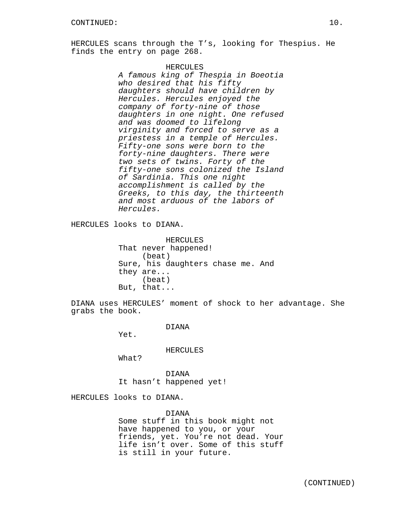HERCULES scans through the T's, looking for Thespius. He finds the entry on page 268.

> HERCULES A famous king of Thespia in Boeotia who desired that his fifty daughters should have children by Hercules. Hercules enjoyed the company of forty-nine of those daughters in one night. One refused and was doomed to lifelong virginity and forced to serve as a priestess in a temple of Hercules. Fifty-one sons were born to the forty-nine daughters. There were two sets of twins. Forty of the fifty-one sons colonized the Island of Sardinia. This one night accomplishment is called by the Greeks, to this day, the thirteenth and most arduous of the labors of Hercules.

HERCULES looks to DIANA.

HERCULES That never happened! (beat) Sure, his daughters chase me. And they are... (beat) But, that...

DIANA uses HERCULES' moment of shock to her advantage. She grabs the book.

DIANA

Yet.

HERCULES

What?

DIANA It hasn't happened yet!

HERCULES looks to DIANA.

DIANA Some stuff in this book might not have happened to you, or your friends, yet. You're not dead. Your life isn't over. Some of this stuff is still in your future.

(CONTINUED)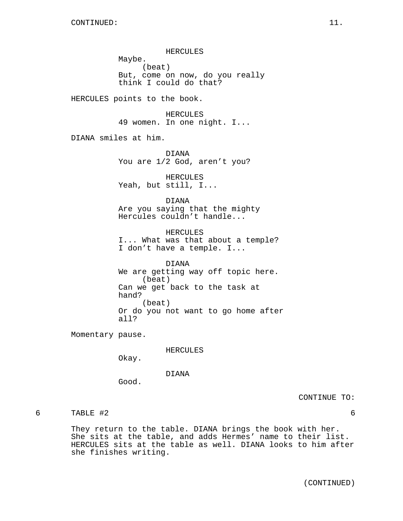HERCULES Maybe. (beat) But, come on now, do you really think I could do that?

HERCULES points to the book.

HERCULES 49 women. In one night. I...

DIANA smiles at him.

DIANA You are 1/2 God, aren't you?

HERCULES Yeah, but still, I...

## DIANA

Are you saying that the mighty Hercules couldn't handle...

HERCULES I... What was that about a temple? I don't have a temple. I...

DIANA We are getting way off topic here. (beat) Can we get back to the task at hand? (beat) Or do you not want to go home after all?

Momentary pause.

HERCULES

Okay.

DIANA

Good.

CONTINUE TO:

6 TABLE #2 6

They return to the table. DIANA brings the book with her. She sits at the table, and adds Hermes' name to their list. HERCULES sits at the table as well. DIANA looks to him after she finishes writing.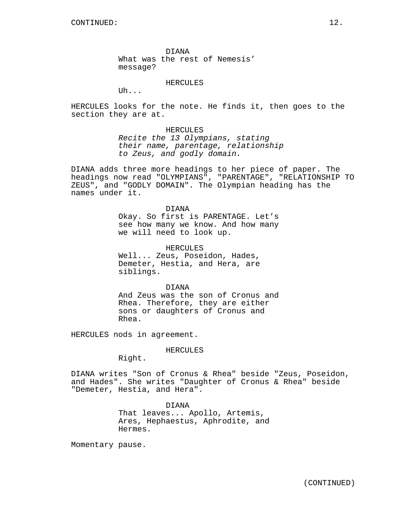DIANA What was the rest of Nemesis' message?

#### HERCULES

Uh...

HERCULES looks for the note. He finds it, then goes to the section they are at.

## HERCULES

Recite the 13 Olympians, stating their name, parentage, relationship to Zeus, and godly domain.

DIANA adds three more headings to her piece of paper. The headings now read "OLYMPIANS", "PARENTAGE", "RELATIONSHIP TO ZEUS", and "GODLY DOMAIN". The Olympian heading has the names under it.

> DIANA Okay. So first is PARENTAGE. Let's see how many we know. And how many we will need to look up.

HERCULES Well... Zeus, Poseidon, Hades, Demeter, Hestia, and Hera, are siblings.

DIANA And Zeus was the son of Cronus and Rhea. Therefore, they are either sons or daughters of Cronus and Rhea.

HERCULES nods in agreement.

#### HERCULES

Right.

DIANA writes "Son of Cronus & Rhea" beside "Zeus, Poseidon, and Hades". She writes "Daughter of Cronus & Rhea" beside "Demeter, Hestia, and Hera".

> DIANA That leaves... Apollo, Artemis, Ares, Hephaestus, Aphrodite, and Hermes.

Momentary pause.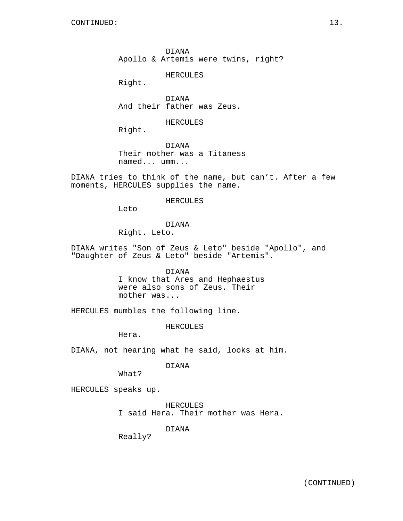DIANA Apollo & Artemis were twins, right?

HERCULES

Right.

DIANA And their father was Zeus.

HERCULES

Right.

DIANA Their mother was a Titaness named... umm...

DIANA tries to think of the name, but can't. After a few moments, HERCULES supplies the name.

#### HERCULES

Leto

# DIANA

Right. Leto.

DIANA writes "Son of Zeus & Leto" beside "Apollo", and "Daughter of Zeus & Leto" beside "Artemis".

### DIANA

I know that Ares and Hephaestus were also sons of Zeus. Their mother was...

HERCULES mumbles the following line.

HERCULES

Hera.

DIANA, not hearing what he said, looks at him.

## DIANA

What?

HERCULES speaks up.

HERCULES I said Hera. Their mother was Hera.

DIANA

Really?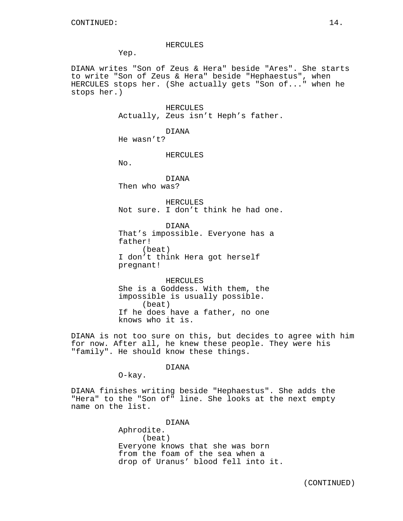#### HERCULES

Yep.

DIANA writes "Son of Zeus & Hera" beside "Ares". She starts to write "Son of Zeus & Hera" beside "Hephaestus", when HERCULES stops her. (She actually gets "Son of..." when he stops her.)

> HERCULES Actually, Zeus isn't Heph's father.

> > DIANA

He wasn't?

HERCULES

No.

DIANA Then who was?

HERCULES Not sure. I don't think he had one.

DIANA That's impossible. Everyone has a father! (beat) I don't think Hera got herself pregnant!

HERCULES She is a Goddess. With them, the impossible is usually possible. (beat) If he does have a father, no one knows who it is.

DIANA is not too sure on this, but decides to agree with him for now. After all, he knew these people. They were his "family". He should know these things.

#### DIANA

O-kay.

DIANA finishes writing beside "Hephaestus". She adds the "Hera" to the "Son of" line. She looks at the next empty name on the list.

> DIANA Aphrodite. (beat) Everyone knows that she was born from the foam of the sea when a drop of Uranus' blood fell into it.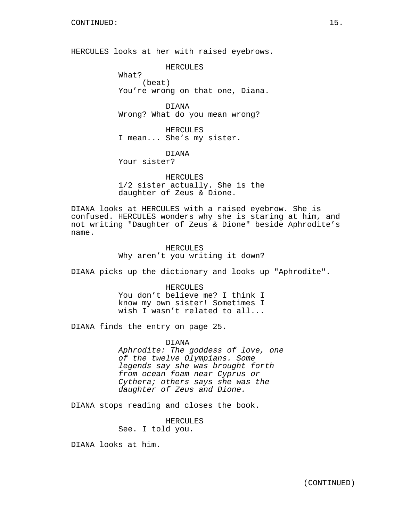HERCULES looks at her with raised eyebrows.

HERCULES

What? (beat) You're wrong on that one, Diana.

DIANA Wrong? What do you mean wrong?

HERCULES I mean... She's my sister.

DIANA Your sister?

HERCULES 1/2 sister actually. She is the daughter of Zeus & Dione.

DIANA looks at HERCULES with a raised eyebrow. She is confused. HERCULES wonders why she is staring at him, and not writing "Daughter of Zeus & Dione" beside Aphrodite's name.

> HERCULES Why aren't you writing it down?

DIANA picks up the dictionary and looks up "Aphrodite".

HERCULES You don't believe me? I think I know my own sister! Sometimes I wish I wasn't related to all...

DIANA finds the entry on page 25.

DIANA Aphrodite: The goddess of love, one of the twelve Olympians. Some legends say she was brought forth from ocean foam near Cyprus or Cythera; others says she was the daughter of Zeus and Dione.

DIANA stops reading and closes the book.

HERCULES See. I told you.

DIANA looks at him.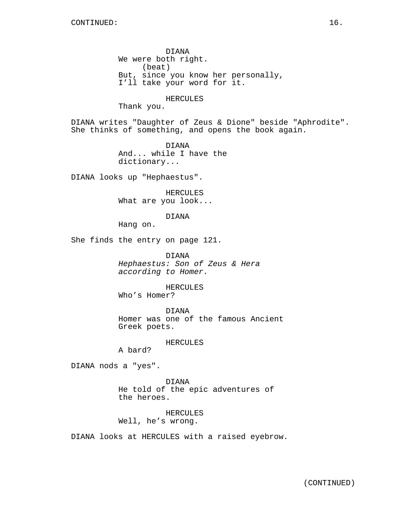DIANA We were both right. (beat) But, since you know her personally, I'll take your word for it.

### HERCULES

Thank you.

DIANA writes "Daughter of Zeus & Dione" beside "Aphrodite". She thinks of something, and opens the book again.

> DIANA And... while I have the dictionary...

DIANA looks up "Hephaestus".

HERCULES What are you look...

DIANA

Hang on.

She finds the entry on page 121.

DIANA Hephaestus: Son of Zeus & Hera according to Homer.

HERCULES

Who's Homer?

DIANA Homer was one of the famous Ancient Greek poets.

HERCULES

A bard?

DIANA nods a "yes".

DIANA He told of the epic adventures of the heroes.

HERCULES Well, he's wrong.

DIANA looks at HERCULES with a raised eyebrow.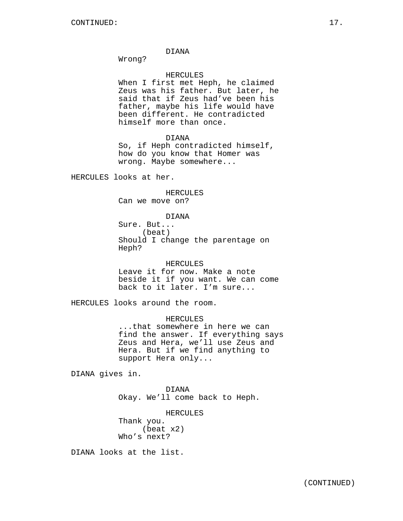Wrong?

## HERCULES

When I first met Heph, he claimed Zeus was his father. But later, he said that if Zeus had've been his father, maybe his life would have been different. He contradicted himself more than once.

#### DIANA

So, if Heph contradicted himself, how do you know that Homer was wrong. Maybe somewhere...

HERCULES looks at her.

## HERCULES

Can we move on?

# DIANA

Sure. But... (beat) Should I change the parentage on Heph?

## HERCULES

Leave it for now. Make a note beside it if you want. We can come back to it later. I'm sure...

HERCULES looks around the room.

# HERCULES

...that somewhere in here we can find the answer. If everything says Zeus and Hera, we'll use Zeus and Hera. But if we find anything to support Hera only...

DIANA gives in.

DIANA Okay. We'll come back to Heph.

## HERCULES

Thank you. (beat x2) Who's next?

DIANA looks at the list.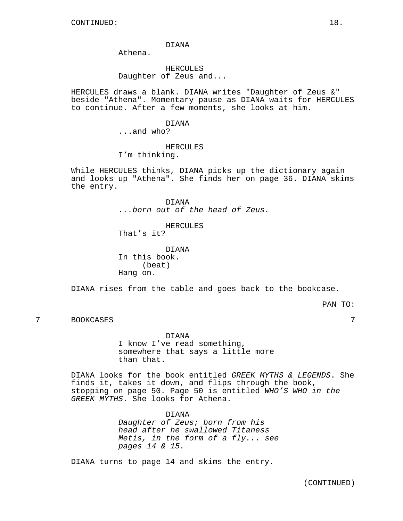Athena.

# HERCULES Daughter of Zeus and...

HERCULES draws a blank. DIANA writes "Daughter of Zeus &" beside "Athena". Momentary pause as DIANA waits for HERCULES to continue. After a few moments, she looks at him.

# DIANA

...and who?

#### HERCULES

I'm thinking.

While HERCULES thinks, DIANA picks up the dictionary again and looks up "Athena". She finds her on page 36. DIANA skims the entry.

> DIANA ...born out of the head of Zeus.

> > HERCULES

That's it?

DIANA In this book. (beat) Hang on.

DIANA rises from the table and goes back to the bookcase.

PAN TO:

#### 7 BOOKCASES 7

DIANA

I know I've read something, somewhere that says a little more than that.

DIANA looks for the book entitled GREEK MYTHS & LEGENDS. She finds it, takes it down, and flips through the book, stopping on page 50. Page 50 is entitled WHO'S WHO in the GREEK MYTHS. She looks for Athena.

> DIANA Daughter of Zeus; born from his head after he swallowed Titaness Metis, in the form of a fly... see pages 14 & 15.

DIANA turns to page 14 and skims the entry.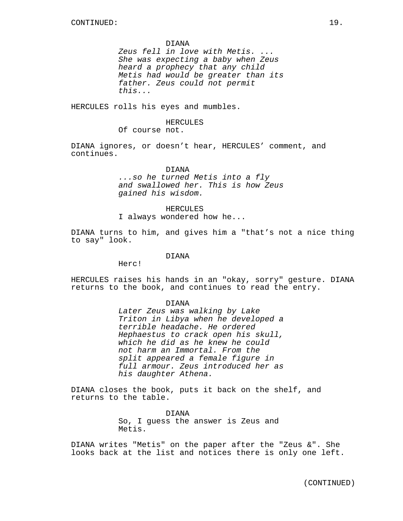Zeus fell in love with Metis. ... She was expecting a baby when Zeus heard a prophecy that any child Metis had would be greater than its father. Zeus could not permit this...

HERCULES rolls his eyes and mumbles.

#### HERCULES

Of course not.

DIANA ignores, or doesn't hear, HERCULES' comment, and continues.

## DIANA

...so he turned Metis into a fly and swallowed her. This is how Zeus gained his wisdom.

## HERCULES

I always wondered how he...

DIANA turns to him, and gives him a "that's not a nice thing to say" look.

## DIANA

Herc!

HERCULES raises his hands in an "okay, sorry" gesture. DIANA returns to the book, and continues to read the entry.

#### DIANA

Later Zeus was walking by Lake Triton in Libya when he developed a terrible headache. He ordered Hephaestus to crack open his skull, which he did as he knew he could not harm an Immortal. From the split appeared a female figure in full armour. Zeus introduced her as his daughter Athena.

DIANA closes the book, puts it back on the shelf, and returns to the table.

> DIANA So, I guess the answer is Zeus and Metis.

DIANA writes "Metis" on the paper after the "Zeus &". She looks back at the list and notices there is only one left.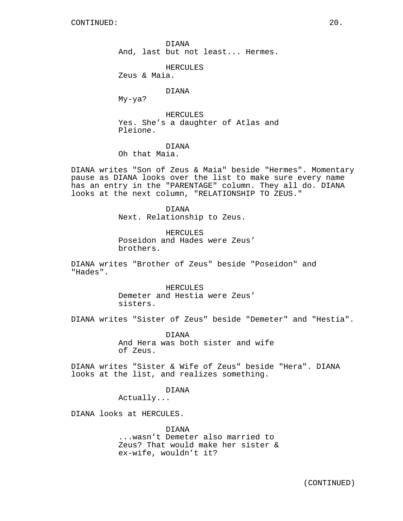DIANA And, last but not least... Hermes.

HERCULES

Zeus & Maia.

## DIANA

My-ya?

HERCULES Yes. She's a daughter of Atlas and Pleione.

# DIANA

Oh that Maia.

DIANA writes "Son of Zeus & Maia" beside "Hermes". Momentary pause as DIANA looks over the list to make sure every name has an entry in the "PARENTAGE" column. They all do. DIANA looks at the next column, "RELATIONSHIP TO ZEUS."

> DIANA Next. Relationship to Zeus.

HERCULES Poseidon and Hades were Zeus' brothers.

DIANA writes "Brother of Zeus" beside "Poseidon" and "Hades".

> HERCULES Demeter and Hestia were Zeus' sisters.

DIANA writes "Sister of Zeus" beside "Demeter" and "Hestia".

DIANA And Hera was both sister and wife of Zeus.

DIANA writes "Sister & Wife of Zeus" beside "Hera". DIANA looks at the list, and realizes something.

DIANA

Actually...

DIANA looks at HERCULES.

DIANA ...wasn't Demeter also married to Zeus? That would make her sister & ex-wife, wouldn't it?

(CONTINUED)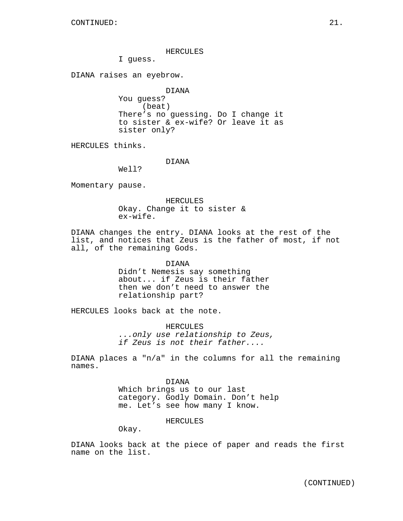## HERCULES

I guess.

DIANA raises an eyebrow.

DIANA You guess? (beat) There's no guessing. Do I change it to sister & ex-wife? Or leave it as sister only?

HERCULES thinks.

DIANA

Well?

Momentary pause.

HERCULES Okay. Change it to sister & ex-wife.

DIANA changes the entry. DIANA looks at the rest of the list, and notices that Zeus is the father of most, if not all, of the remaining Gods.

> DIANA Didn't Nemesis say something about... if Zeus is their father then we don't need to answer the relationship part?

HERCULES looks back at the note.

HERCULES ...only use relationship to Zeus, if Zeus is not their father....

DIANA places a "n/a" in the columns for all the remaining names.

> DIANA Which brings us to our last category. Godly Domain. Don't help me. Let's see how many I know.

> > HERCULES

Okay.

DIANA looks back at the piece of paper and reads the first name on the list.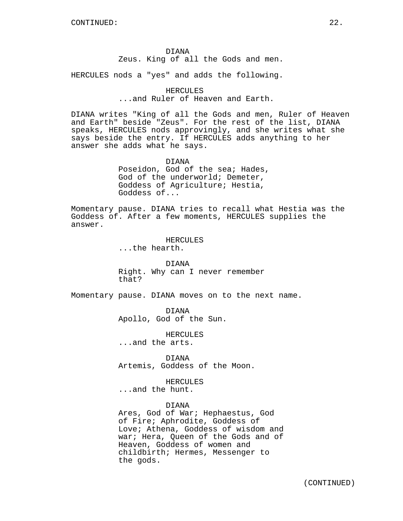DIANA Zeus. King of all the Gods and men.

HERCULES nods a "yes" and adds the following.

# HERCULES

...and Ruler of Heaven and Earth.

DIANA writes "King of all the Gods and men, Ruler of Heaven and Earth" beside "Zeus". For the rest of the list, DIANA speaks, HERCULES nods approvingly, and she writes what she says beside the entry. If HERCULES adds anything to her answer she adds what he says.

> DIANA Poseidon, God of the sea; Hades, God of the underworld; Demeter, Goddess of Agriculture; Hestia, Goddess of...

Momentary pause. DIANA tries to recall what Hestia was the Goddess of. After a few moments, HERCULES supplies the answer.

> HERCULES ...the hearth.

DIANA Right. Why can I never remember that?

Momentary pause. DIANA moves on to the next name.

DIANA Apollo, God of the Sun.

HERCULES ...and the arts.

DIANA Artemis, Goddess of the Moon.

HERCULES ...and the hunt.

DIANA

Ares, God of War; Hephaestus, God of Fire; Aphrodite, Goddess of Love; Athena, Goddess of wisdom and war; Hera, Queen of the Gods and of Heaven, Goddess of women and childbirth; Hermes, Messenger to the gods.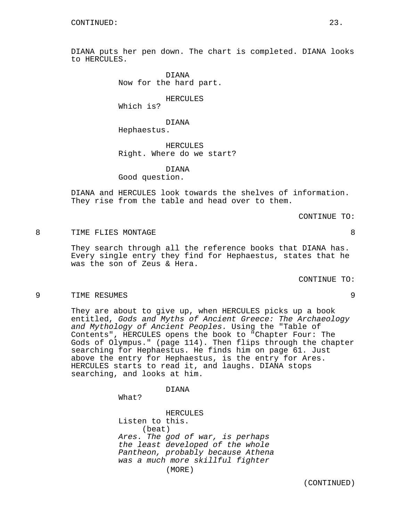DIANA puts her pen down. The chart is completed. DIANA looks to HERCULES.

> DIANA Now for the hard part.

> > HERCULES

Which is?

# DIANA

Hephaestus.

HERCULES Right. Where do we start?

DIANA

Good question.

DIANA and HERCULES look towards the shelves of information. They rise from the table and head over to them.

CONTINUE TO:

8 TIME FLIES MONTAGE 8

They search through all the reference books that DIANA has. Every single entry they find for Hephaestus, states that he was the son of Zeus & Hera.

CONTINUE TO:

#### 9 TIME RESUMES 9

They are about to give up, when HERCULES picks up a book entitled, Gods and Myths of Ancient Greece: The Archaeology and Mythology of Ancient Peoples. Using the "Table of Contents", HERCULES opens the book to "Chapter Four: The Gods of Olympus." (page 114). Then flips through the chapter searching for Hephaestus. He finds him on page 61. Just above the entry for Hephaestus, is the entry for Ares. HERCULES starts to read it, and laughs. DIANA stops searching, and looks at him.

DIANA

What?

HERCULES Listen to this. (beat) Ares. The god of war, is perhaps the least developed of the whole Pantheon, probably because Athena was a much more skillful fighter (MORE)

(CONTINUED)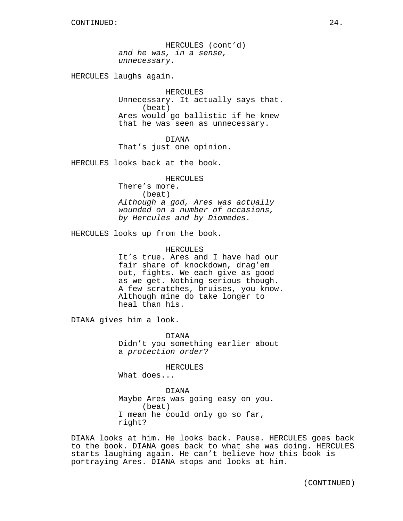HERCULES (cont'd) and he was, in a sense, unnecessary.

HERCULES laughs again.

#### HERCULES

Unnecessary. It actually says that. (beat) Ares would go ballistic if he knew that he was seen as unnecessary.

DIANA That's just one opinion.

HERCULES looks back at the book.

#### HERCULES

There's more. (beat) Although a god, Ares was actually wounded on a number of occasions, by Hercules and by Diomedes.

HERCULES looks up from the book.

## HERCULES

It's true. Ares and I have had our fair share of knockdown, drag'em out, fights. We each give as good as we get. Nothing serious though. A few scratches, bruises, you know. Although mine do take longer to heal than his.

DIANA gives him a look.

DIANA Didn't you something earlier about a protection order?

HERCULES What does...

DIANA Maybe Ares was going easy on you. (beat) I mean he could only go so far, right?

DIANA looks at him. He looks back. Pause. HERCULES goes back to the book. DIANA goes back to what she was doing. HERCULES starts laughing again. He can't believe how this book is portraying Ares. DIANA stops and looks at him.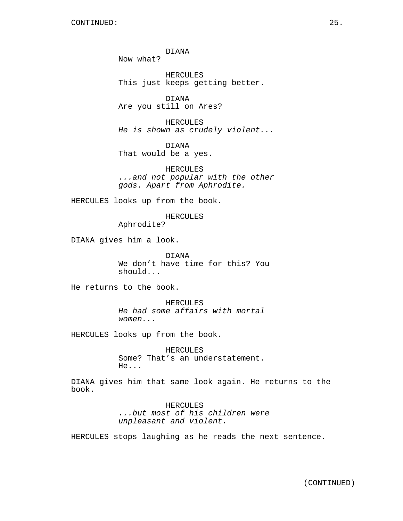DIANA Now what?

HERCULES This just keeps getting better.

DIANA Are you still on Ares?

HERCULES He is shown as crudely violent...

DIANA That would be a yes.

HERCULES ...and not popular with the other gods. Apart from Aphrodite.

HERCULES looks up from the book.

HERCULES

Aphrodite?

DIANA gives him a look.

DIANA We don't have time for this? You should...

He returns to the book.

HERCULES He had some affairs with mortal women...

HERCULES looks up from the book.

HERCULES Some? That's an understatement. He...

DIANA gives him that same look again. He returns to the book.

> HERCULES ...but most of his children were unpleasant and violent.

HERCULES stops laughing as he reads the next sentence.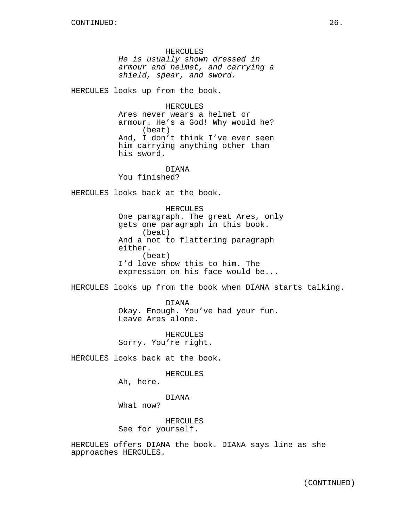HERCULES He is usually shown dressed in armour and helmet, and carrying a shield, spear, and sword.

HERCULES looks up from the book.

HERCULES Ares never wears a helmet or armour. He's a God! Why would he? (beat) And, I don't think I've ever seen him carrying anything other than his sword.

DIANA You finished?

HERCULES looks back at the book.

HERCULES One paragraph. The great Ares, only gets one paragraph in this book. (beat) And a not to flattering paragraph either. (beat) I'd love show this to him. The expression on his face would be...

HERCULES looks up from the book when DIANA starts talking.

DIANA Okay. Enough. You've had your fun. Leave Ares alone.

HERCULES Sorry. You're right.

HERCULES looks back at the book.

HERCULES

Ah, here.

DIANA

What now?

HERCULES See for yourself.

HERCULES offers DIANA the book. DIANA says line as she approaches HERCULES.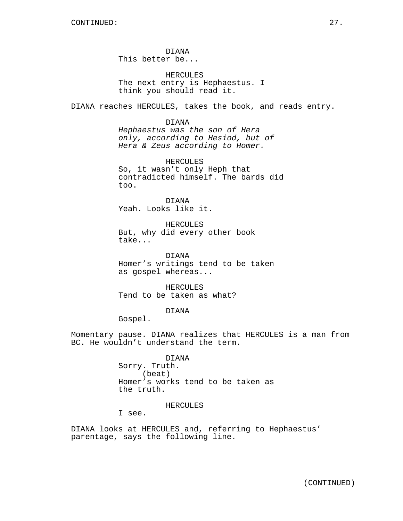DIANA This better be...

HERCULES The next entry is Hephaestus. I think you should read it.

DIANA reaches HERCULES, takes the book, and reads entry.

## DIANA

Hephaestus was the son of Hera only, according to Hesiod, but of Hera & Zeus according to Homer.

HERCULES So, it wasn't only Heph that contradicted himself. The bards did too.

DIANA Yeah. Looks like it.

HERCULES But, why did every other book take...

DIANA Homer's writings tend to be taken as gospel whereas...

HERCULES Tend to be taken as what?

## DIANA

Gospel.

Momentary pause. DIANA realizes that HERCULES is a man from BC. He wouldn't understand the term.

> DIANA Sorry. Truth. (beat) Homer's works tend to be taken as the truth.

## HERCULES

I see.

DIANA looks at HERCULES and, referring to Hephaestus' parentage, says the following line.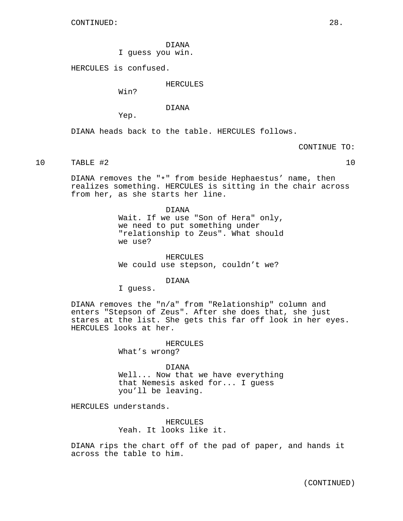DIANA I guess you win.

HERCULES is confused.

HERCULES

Win?

DIANA

Yep.

DIANA heads back to the table. HERCULES follows.

CONTINUE TO:

10 TABLE #2 10

DIANA removes the "\*" from beside Hephaestus' name, then realizes something. HERCULES is sitting in the chair across from her, as she starts her line.

> DIANA Wait. If we use "Son of Hera" only, we need to put something under "relationship to Zeus". What should we use?

HERCULES We could use stepson, couldn't we?

DIANA

I guess.

DIANA removes the "n/a" from "Relationship" column and enters "Stepson of Zeus". After she does that, she just stares at the list. She gets this far off look in her eyes. HERCULES looks at her.

## HERCULES

What's wrong?

## DIANA

Well... Now that we have everything that Nemesis asked for... I guess you'll be leaving.

HERCULES understands.

HERCULES Yeah. It looks like it.

DIANA rips the chart off of the pad of paper, and hands it across the table to him.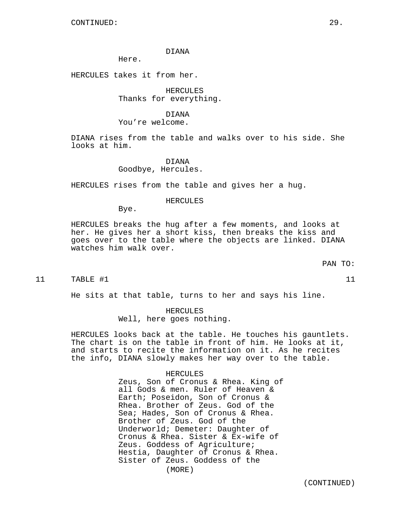Here.

HERCULES takes it from her.

HERCULES Thanks for everything.

DIANA You're welcome.

DIANA rises from the table and walks over to his side. She looks at him.

DIANA

Goodbye, Hercules.

HERCULES rises from the table and gives her a hug.

#### HERCULES

Bye.

HERCULES breaks the hug after a few moments, and looks at her. He gives her a short kiss, then breaks the kiss and goes over to the table where the objects are linked. DIANA watches him walk over.

PAN TO:

11 TABLE #1 11 11

He sits at that table, turns to her and says his line.

## HERCULES

Well, here goes nothing.

HERCULES looks back at the table. He touches his gauntlets. The chart is on the table in front of him. He looks at it, and starts to recite the information on it. As he recites the info, DIANA slowly makes her way over to the table.

#### HERCULES

Zeus, Son of Cronus & Rhea. King of all Gods & men. Ruler of Heaven & Earth; Poseidon, Son of Cronus & Rhea. Brother of Zeus. God of the Sea; Hades, Son of Cronus & Rhea. Brother of Zeus. God of the Underworld; Demeter: Daughter of Cronus & Rhea. Sister & Ex-wife of Zeus. Goddess of Agriculture; Hestia, Daughter of Cronus & Rhea. Sister of Zeus. Goddess of the (MORE)

(CONTINUED)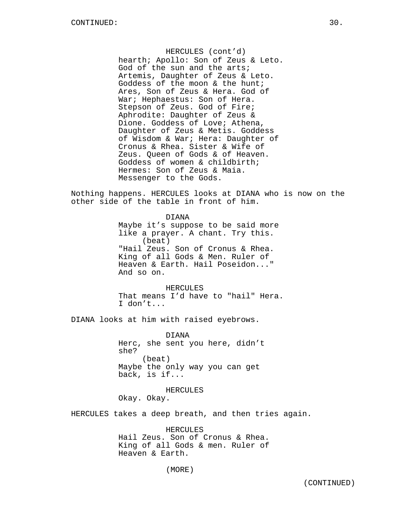HERCULES (cont'd) hearth; Apollo: Son of Zeus & Leto. God of the sun and the arts; Artemis, Daughter of Zeus & Leto. Goddess of the moon & the hunt; Ares, Son of Zeus & Hera. God of War; Hephaestus: Son of Hera. Stepson of Zeus. God of Fire; Aphrodite: Daughter of Zeus & Dione. Goddess of Love; Athena, Daughter of Zeus & Metis. Goddess of Wisdom & War; Hera: Daughter of Cronus & Rhea. Sister & Wife of Zeus. Queen of Gods & of Heaven. Goddess of women & childbirth; Hermes: Son of Zeus & Maia. Messenger to the Gods.

Nothing happens. HERCULES looks at DIANA who is now on the other side of the table in front of him.

> DIANA Maybe it's suppose to be said more like a prayer. A chant. Try this. (beat) "Hail Zeus. Son of Cronus & Rhea. King of all Gods & Men. Ruler of Heaven & Earth. Hail Poseidon..." And so on.

HERCULES That means I'd have to "hail" Hera. I don't...

DIANA looks at him with raised eyebrows.

DIANA Herc, she sent you here, didn't she? (beat) Maybe the only way you can get back, is if...

HERCULES Okay. Okay.

HERCULES takes a deep breath, and then tries again.

HERCULES Hail Zeus. Son of Cronus & Rhea. King of all Gods & men. Ruler of Heaven & Earth.

(MORE)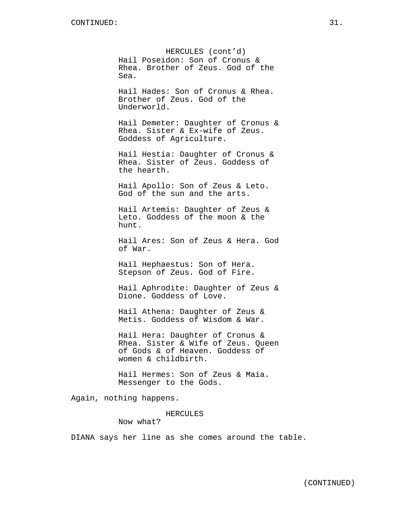HERCULES (cont'd) Hail Poseidon: Son of Cronus & Rhea. Brother of Zeus. God of the Sea.

Hail Hades: Son of Cronus & Rhea. Brother of Zeus. God of the Underworld.

Hail Demeter: Daughter of Cronus & Rhea. Sister & Ex-wife of Zeus. Goddess of Agriculture.

Hail Hestia: Daughter of Cronus & Rhea. Sister of Zeus. Goddess of the hearth.

Hail Apollo: Son of Zeus & Leto. God of the sun and the arts.

Hail Artemis: Daughter of Zeus & Leto. Goddess of the moon & the hunt.

Hail Ares: Son of Zeus & Hera. God of War.

Hail Hephaestus: Son of Hera. Stepson of Zeus. God of Fire.

Hail Aphrodite: Daughter of Zeus & Dione. Goddess of Love.

Hail Athena: Daughter of Zeus & Metis. Goddess of Wisdom & War.

Hail Hera: Daughter of Cronus & Rhea. Sister & Wife of Zeus. Queen of Gods & of Heaven. Goddess of women & childbirth.

Hail Hermes: Son of Zeus & Maia. Messenger to the Gods.

Again, nothing happens.

## HERCULES

Now what?

DIANA says her line as she comes around the table.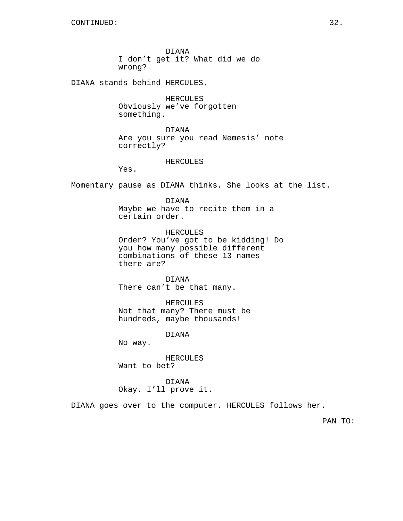DIANA I don't get it? What did we do wrong?

DIANA stands behind HERCULES.

HERCULES Obviously we've forgotten something.

DIANA Are you sure you read Nemesis' note correctly?

HERCULES

Yes.

Momentary pause as DIANA thinks. She looks at the list.

DIANA Maybe we have to recite them in a certain order.

HERCULES Order? You've got to be kidding! Do you how many possible different combinations of these 13 names there are?

DIANA There can't be that many.

HERCULES Not that many? There must be hundreds, maybe thousands!

DIANA

No way.

HERCULES Want to bet?

DIANA Okay. I'll prove it.

DIANA goes over to the computer. HERCULES follows her.

PAN TO: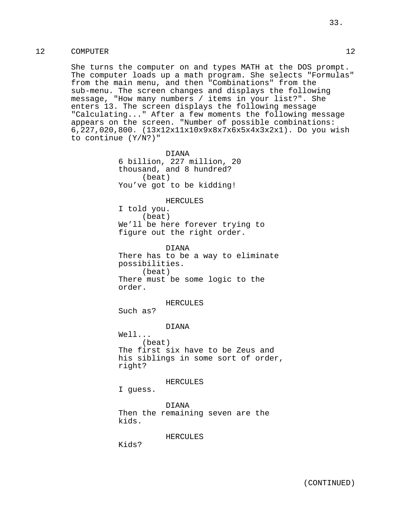# 12 COMPUTER 12

She turns the computer on and types MATH at the DOS prompt. The computer loads up a math program. She selects "Formulas" from the main menu, and then "Combinations" from the sub-menu. The screen changes and displays the following message, "How many numbers / items in your list?". She enters 13. The screen displays the following message "Calculating..." After a few moments the following message appears on the screen. "Number of possible combinations: 6,227,020,800. (13x12x11x10x9x8x7x6x5x4x3x2x1). Do you wish to continue (Y/N?)"

> DIANA 6 billion, 227 million, 20 thousand, and 8 hundred? (beat) You've got to be kidding!

#### HERCULES

I told you. (beat) We'll be here forever trying to figure out the right order.

DIANA There has to be a way to eliminate possibilities. (beat) There must be some logic to the order.

HERCULES

Such as?

DIANA

Well... (beat) The first six have to be Zeus and his siblings in some sort of order, right?

HERCULES

I guess.

DIANA Then the remaining seven are the kids.

HERCULES

Kids?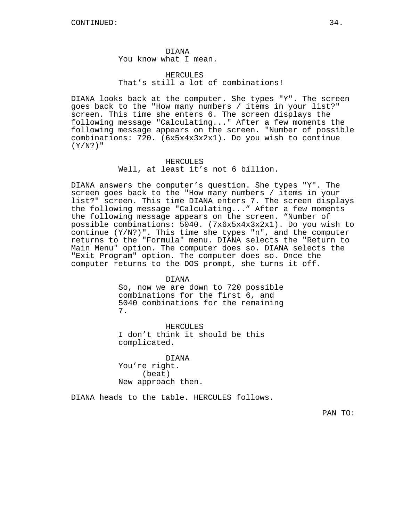DIANA You know what I mean.

# HERCULES<sup>1</sup> That's still a lot of combinations!

DIANA looks back at the computer. She types "Y". The screen goes back to the "How many numbers / items in your list?" screen. This time she enters 6. The screen displays the following message "Calculating..." After a few moments the following message appears on the screen. "Number of possible combinations: 720. (6x5x4x3x2x1). Do you wish to continue  $(Y/N?$  "

> HERCULES Well, at least it's not 6 billion.

DIANA answers the computer's question. She types "Y". The screen goes back to the "How many numbers / items in your list?" screen. This time DIANA enters 7. The screen displays the following message "Calculating..." After a few moments the following message appears on the screen. "Number of possible combinations: 5040. (7x6x5x4x3x2x1). Do you wish to continue  $(Y/N?)$ ". This time she types "n", and the computer returns to the "Formula" menu. DIANA selects the "Return to Main Menu" option. The computer does so. DIANA selects the "Exit Program" option. The computer does so. Once the computer returns to the DOS prompt, she turns it off.

DIANA

So, now we are down to 720 possible combinations for the first 6, and 5040 combinations for the remaining 7.

HERCULES I don't think it should be this complicated.

DIANA You're right. (beat) New approach then.

DIANA heads to the table. HERCULES follows.

PAN TO: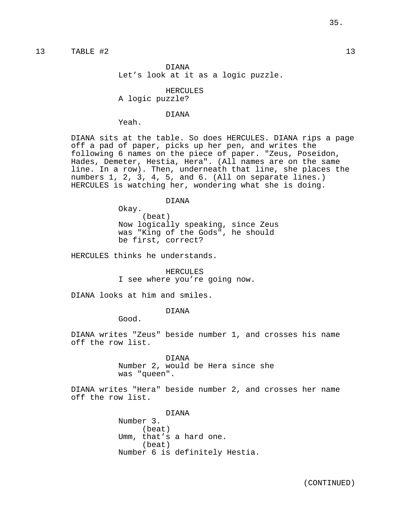# 13 TABLE #2 13

DIANA Let's look at it as a logic puzzle.

HERCULES A logic puzzle?

#### DIANA

Yeah.

DIANA sits at the table. So does HERCULES. DIANA rips a page off a pad of paper, picks up her pen, and writes the following 6 names on the piece of paper. "Zeus, Poseidon, Hades, Demeter, Hestia, Hera". (All names are on the same line. In a row). Then, underneath that line, she places the numbers 1, 2, 3, 4, 5, and 6. (All on separate lines.) HERCULES is watching her, wondering what she is doing.

DIANA

Okay. (beat) Now logically speaking, since Zeus was "King of the Gods", he should be first, correct?

HERCULES thinks he understands.

HERCULES I see where you're going now.

DIANA looks at him and smiles.

## DIANA

Good.

DIANA writes "Zeus" beside number 1, and crosses his name off the row list.

> DIANA Number 2, would be Hera since she was "queen".

DIANA writes "Hera" beside number 2, and crosses her name off the row list.

> DIANA Number 3. (beat) Umm, that's a hard one. (beat) Number 6 is definitely Hestia.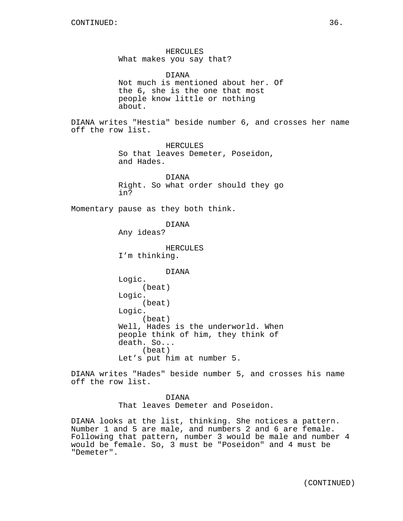HERCULES What makes you say that?

DIANA Not much is mentioned about her. Of the 6, she is the one that most people know little or nothing about.

DIANA writes "Hestia" beside number 6, and crosses her name off the row list.

> HERCULES So that leaves Demeter, Poseidon, and Hades.

DIANA Right. So what order should they go in?

Momentary pause as they both think.

DIANA

Any ideas?

HERCULES I'm thinking.

DIANA

```
Logic.
     (beat)
Logic.
     (beat)
Logic.
     (beat)
Well, Hades is the underworld. When
people think of him, they think of
death. So...
     (beat)
Let's put him at number 5.
```
DIANA writes "Hades" beside number 5, and crosses his name off the row list.

> DIANA That leaves Demeter and Poseidon.

DIANA looks at the list, thinking. She notices a pattern. Number 1 and 5 are male, and numbers 2 and 6 are female. Following that pattern, number 3 would be male and number 4 would be female. So, 3 must be "Poseidon" and 4 must be "Demeter".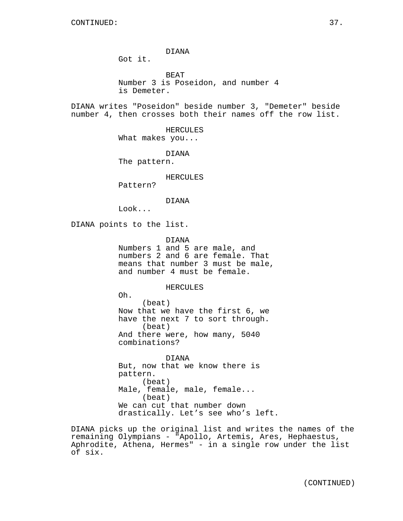Got it.

BEAT Number 3 is Poseidon, and number 4 is Demeter.

DIANA writes "Poseidon" beside number 3, "Demeter" beside number 4, then crosses both their names off the row list.

> HERCULES What makes you...

DIANA The pattern.

## HERCULES

Pattern?

#### DIANA

Look...

DIANA points to the list.

DIANA

Numbers 1 and 5 are male, and numbers 2 and 6 are female. That means that number 3 must be male, and number 4 must be female.

## HERCULES

Oh.

(beat) Now that we have the first 6, we have the next 7 to sort through. (beat) And there were, how many, 5040 combinations?

DIANA But, now that we know there is pattern. (beat) Male, female, male, female... (beat) We can cut that number down drastically. Let's see who's left.

DIANA picks up the original list and writes the names of the remaining Olympians - "Apollo, Artemis, Ares, Hephaestus, Aphrodite, Athena, Hermes" - in a single row under the list of six.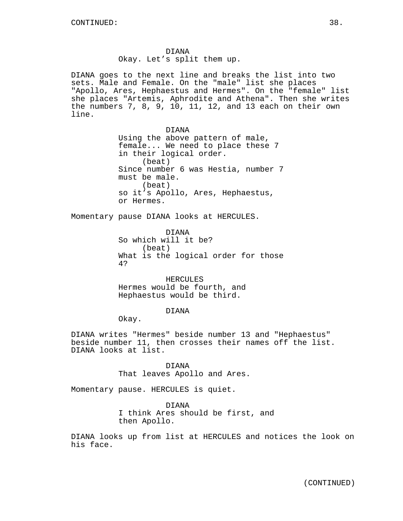Okay. Let's split them up.

DIANA goes to the next line and breaks the list into two sets. Male and Female. On the "male" list she places "Apollo, Ares, Hephaestus and Hermes". On the "female" list she places "Artemis, Aphrodite and Athena". Then she writes the numbers 7, 8, 9, 10, 11, 12, and 13 each on their own line. DIANA Using the above pattern of male, female... We need to place these 7 in their logical order. (beat) Since number 6 was Hestia, number 7 must be male. (beat) so it's Apollo, Ares, Hephaestus, or Hermes. Momentary pause DIANA looks at HERCULES. DIANA So which will it be? (beat) What is the logical order for those 4? HERCULES Hermes would be fourth, and Hephaestus would be third. DIANA Okay. DIANA writes "Hermes" beside number 13 and "Hephaestus" beside number 11, then crosses their names off the list. DIANA looks at list. DIANA That leaves Apollo and Ares. Momentary pause. HERCULES is quiet.

DIANA I think Ares should be first, and then Apollo.

DIANA looks up from list at HERCULES and notices the look on his face.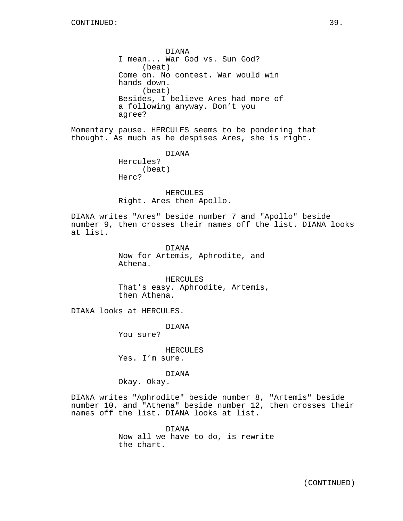DIANA I mean... War God vs. Sun God? (beat) Come on. No contest. War would win hands down. (beat) Besides, I believe Ares had more of a following anyway. Don't you agree?

Momentary pause. HERCULES seems to be pondering that thought. As much as he despises Ares, she is right.

> DIANA Hercules? (beat) Herc?

HERCULES Right. Ares then Apollo.

DIANA writes "Ares" beside number 7 and "Apollo" beside number 9, then crosses their names off the list. DIANA looks at list.

> DIANA Now for Artemis, Aphrodite, and Athena.

HERCULES That's easy. Aphrodite, Artemis, then Athena.

DIANA looks at HERCULES.

DIANA

You sure?

HERCULES Yes. I'm sure.

DIANA

Okay. Okay.

DIANA writes "Aphrodite" beside number 8, "Artemis" beside number 10, and "Athena" beside number 12, then crosses their names off the list. DIANA looks at list.

> DIANA Now all we have to do, is rewrite the chart.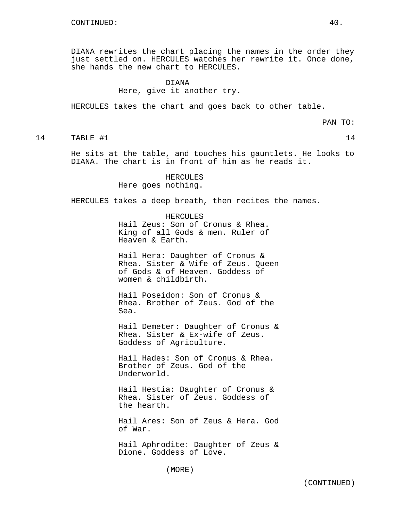DIANA rewrites the chart placing the names in the order they just settled on. HERCULES watches her rewrite it. Once done, she hands the new chart to HERCULES.

# DIANA Here, give it another try.

HERCULES takes the chart and goes back to other table.

PAN TO:

14 TABLE #1 14

He sits at the table, and touches his gauntlets. He looks to DIANA. The chart is in front of him as he reads it.

> HERCULES Here goes nothing.

HERCULES takes a deep breath, then recites the names.

HERCULES Hail Zeus: Son of Cronus & Rhea. King of all Gods & men. Ruler of Heaven & Earth.

Hail Hera: Daughter of Cronus & Rhea. Sister & Wife of Zeus. Queen of Gods & of Heaven. Goddess of women & childbirth.

Hail Poseidon: Son of Cronus & Rhea. Brother of Zeus. God of the Sea.

Hail Demeter: Daughter of Cronus & Rhea. Sister & Ex-wife of Zeus. Goddess of Agriculture.

Hail Hades: Son of Cronus & Rhea. Brother of Zeus. God of the Underworld.

Hail Hestia: Daughter of Cronus & Rhea. Sister of Zeus. Goddess of the hearth.

Hail Ares: Son of Zeus & Hera. God of War.

Hail Aphrodite: Daughter of Zeus & Dione. Goddess of Love.

(MORE)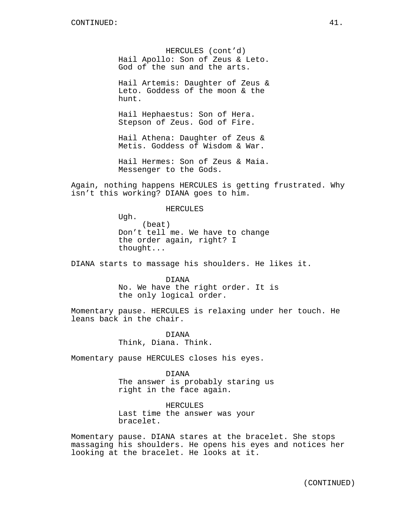HERCULES (cont'd) Hail Apollo: Son of Zeus & Leto. God of the sun and the arts.

Hail Artemis: Daughter of Zeus & Leto. Goddess of the moon & the hunt.

Hail Hephaestus: Son of Hera. Stepson of Zeus. God of Fire.

Hail Athena: Daughter of Zeus & Metis. Goddess of Wisdom & War.

Hail Hermes: Son of Zeus & Maia. Messenger to the Gods.

Again, nothing happens HERCULES is getting frustrated. Why isn't this working? DIANA goes to him.

#### HERCULES

Ugh. (beat) Don't tell me. We have to change the order again, right? I thought...

DIANA starts to massage his shoulders. He likes it.

DIANA No. We have the right order. It is the only logical order.

Momentary pause. HERCULES is relaxing under her touch. He leans back in the chair.

> DIANA Think, Diana. Think.

Momentary pause HERCULES closes his eyes.

DIANA The answer is probably staring us right in the face again.

HERCULES Last time the answer was your bracelet.

Momentary pause. DIANA stares at the bracelet. She stops massaging his shoulders. He opens his eyes and notices her looking at the bracelet. He looks at it.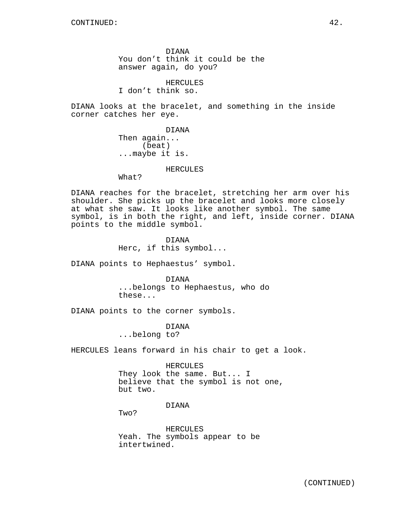DIANA You don't think it could be the answer again, do you?

HERCULES I don't think so.

DIANA looks at the bracelet, and something in the inside corner catches her eye.

> DIANA Then again... (beat) ...maybe it is.

### HERCULES

What?

DIANA reaches for the bracelet, stretching her arm over his shoulder. She picks up the bracelet and looks more closely at what she saw. It looks like another symbol. The same symbol, is in both the right, and left, inside corner. DIANA points to the middle symbol.

> DIANA Herc, if this symbol...

DIANA points to Hephaestus' symbol.

DIANA ...belongs to Hephaestus, who do these...

DIANA points to the corner symbols.

DIANA ...belong to?

HERCULES leans forward in his chair to get a look.

#### HERCULES

They look the same. But... I believe that the symbol is not one, but two.

# DIANA

Two?

HERCULES Yeah. The symbols appear to be intertwined.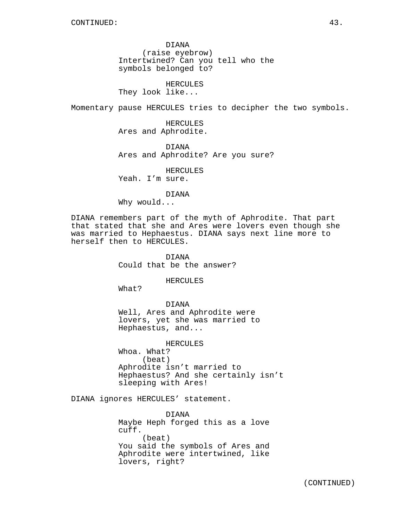DIANA (raise eyebrow) Intertwined? Can you tell who the symbols belonged to?

HERCULES They look like...

Momentary pause HERCULES tries to decipher the two symbols.

HERCULES Ares and Aphrodite.

DIANA Ares and Aphrodite? Are you sure?

HERCULES

Yeah. I'm sure.

DIANA Why would...

DIANA remembers part of the myth of Aphrodite. That part that stated that she and Ares were lovers even though she was married to Hephaestus. DIANA says next line more to herself then to HERCULES.

> DIANA Could that be the answer?

> > HERCULES

What?

DIANA Well, Ares and Aphrodite were lovers, yet she was married to Hephaestus, and...

HERCULES Whoa. What? (beat) Aphrodite isn't married to Hephaestus? And she certainly isn't sleeping with Ares!

DIANA ignores HERCULES' statement.

DIANA Maybe Heph forged this as a love cuff. (beat) You said the symbols of Ares and Aphrodite were intertwined, like lovers, right?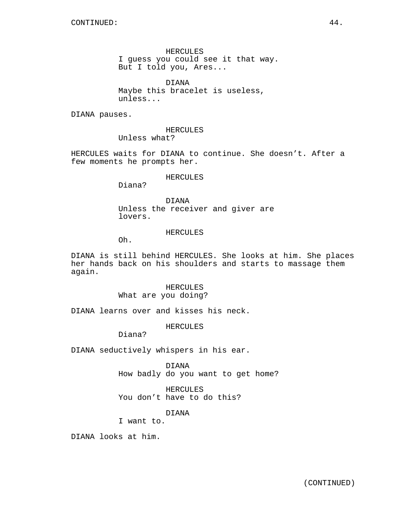HERCULES I guess you could see it that way. But I told you, Ares...

DIANA Maybe this bracelet is useless, unless...

DIANA pauses.

HERCULES Unless what?

HERCULES waits for DIANA to continue. She doesn't. After a few moments he prompts her.

## HERCULES

Diana?

DIANA Unless the receiver and giver are lovers.

#### HERCULES

Oh.

DIANA is still behind HERCULES. She looks at him. She places her hands back on his shoulders and starts to massage them again.

> HERCULES What are you doing?

DIANA learns over and kisses his neck.

HERCULES

Diana?

DIANA seductively whispers in his ear.

DIANA How badly do you want to get home?

HERCULES You don't have to do this?

DIANA

I want to.

DIANA looks at him.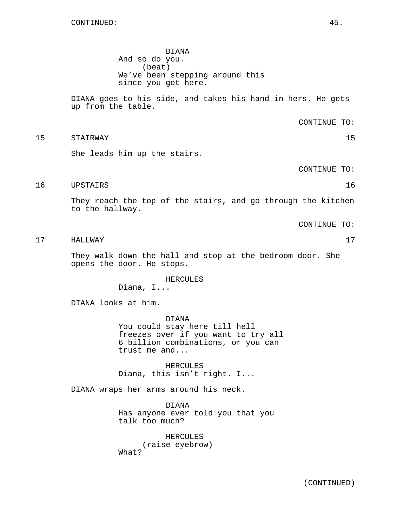DIANA And so do you. (beat) We've been stepping around this since you got here.

DIANA goes to his side, and takes his hand in hers. He gets up from the table.

CONTINUE TO:

15 STAIRWAY 15

She leads him up the stairs.

CONTINUE TO:

16 UPSTAIRS 16

They reach the top of the stairs, and go through the kitchen to the hallway.

CONTINUE TO:

17 HALLWAY 17

They walk down the hall and stop at the bedroom door. She opens the door. He stops.

> HERCULES Diana, I...

DIANA looks at him.

DIANA You could stay here till hell freezes over if you want to try all 6 billion combinations, or you can trust me and...

HERCULES Diana, this isn't right. I...

DIANA wraps her arms around his neck.

DIANA Has anyone ever told you that you talk too much?

HERCULES (raise eyebrow) What?

(CONTINUED)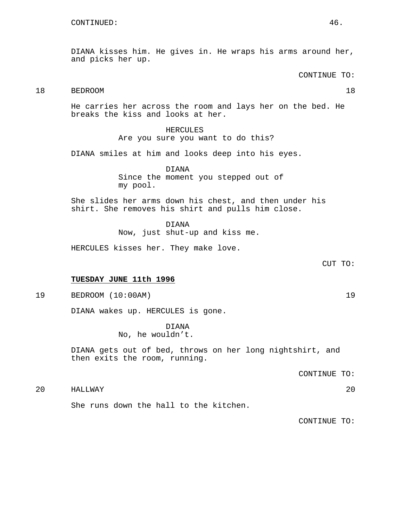DIANA kisses him. He gives in. He wraps his arms around her, and picks her up.

CONTINUE TO:

# 18 BEDROOM 18

He carries her across the room and lays her on the bed. He breaks the kiss and looks at her.

# HERCULES

Are you sure you want to do this?

DIANA smiles at him and looks deep into his eyes.

DIANA Since the moment you stepped out of my pool.

She slides her arms down his chest, and then under his shirt. She removes his shirt and pulls him close.

DIANA

Now, just shut-up and kiss me.

HERCULES kisses her. They make love.

CUT TO:

# **TUESDAY JUNE 11th 1996**

19 BEDROOM (10:00AM) 19

DIANA wakes up. HERCULES is gone.

DIANA No, he wouldn't.

DIANA gets out of bed, throws on her long nightshirt, and then exits the room, running.

CONTINUE TO:

20 HALLWAY 20

She runs down the hall to the kitchen.

CONTINUE TO: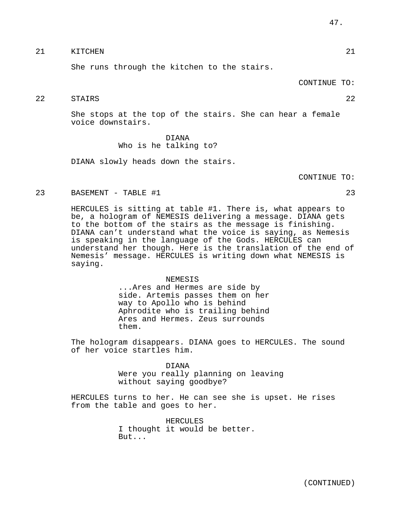# 21 KITCHEN 21

She runs through the kitchen to the stairs.

CONTINUE TO:

# 22 STAIRS 22

She stops at the top of the stairs. She can hear a female voice downstairs.

# DIANA Who is he talking to?

DIANA slowly heads down the stairs.

CONTINUE TO:

## 23 BASEMENT - TABLE #1 23

HERCULES is sitting at table #1. There is, what appears to be, a hologram of NEMESIS delivering a message. DIANA gets to the bottom of the stairs as the message is finishing. DIANA can't understand what the voice is saying, as Nemesis is speaking in the language of the Gods. HERCULES can understand her though. Here is the translation of the end of Nemesis' message. HERCULES is writing down what NEMESIS is saying.

#### NEMESIS

...Ares and Hermes are side by side. Artemis passes them on her way to Apollo who is behind Aphrodite who is trailing behind Ares and Hermes. Zeus surrounds them.

The hologram disappears. DIANA goes to HERCULES. The sound of her voice startles him.

# DIANA Were you really planning on leaving without saying goodbye?

HERCULES turns to her. He can see she is upset. He rises from the table and goes to her.

> HERCULES I thought it would be better. But...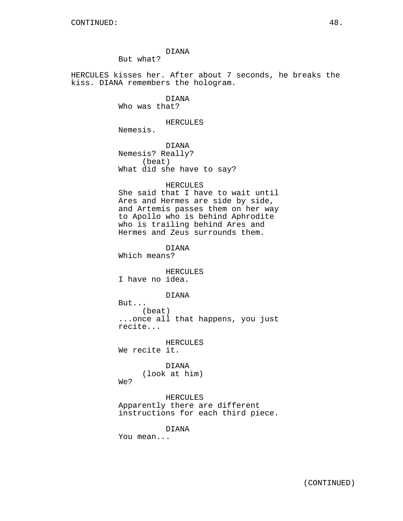But what?

HERCULES kisses her. After about 7 seconds, he breaks the kiss. DIANA remembers the hologram.

> DIANA Who was that?

#### HERCULES

Nemesis.

DIANA Nemesis? Really? (beat) What did she have to say?

#### HERCULES

She said that I have to wait until Ares and Hermes are side by side, and Artemis passes them on her way to Apollo who is behind Aphrodite who is trailing behind Ares and Hermes and Zeus surrounds them.

DIANA

Which means?

HERCULES I have no idea.

#### DIANA

But... (beat) ...once all that happens, you just recite...

HERCULES

We recite it.

DIANA (look at him)

We?

HERCULES Apparently there are different instructions for each third piece.

DIANA

You mean...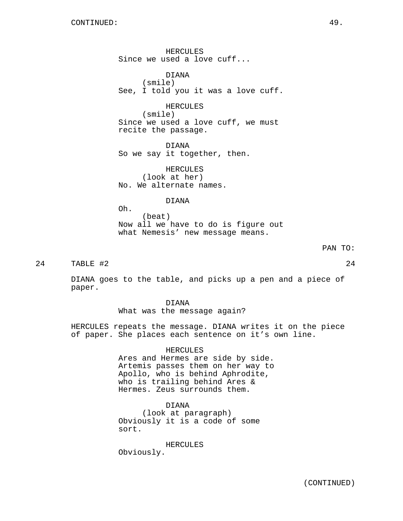HERCULES Since we used a love cuff...

DIANA (smile) See, I told you it was a love cuff.

HERCULES (smile) Since we used a love cuff, we must recite the passage.

DIANA So we say it together, then.

HERCULES (look at her) No. We alternate names.

DIANA

Oh. (beat) Now all we have to do is figure out what Nemesis' new message means.

24 TABLE #2 24

DIANA goes to the table, and picks up a pen and a piece of paper.

> DIANA What was the message again?

HERCULES repeats the message. DIANA writes it on the piece of paper. She places each sentence on it's own line.

HERCULES

Ares and Hermes are side by side. Artemis passes them on her way to Apollo, who is behind Aphrodite, who is trailing behind Ares & Hermes. Zeus surrounds them.

DIANA (look at paragraph) Obviously it is a code of some sort.

HERCULES Obviously.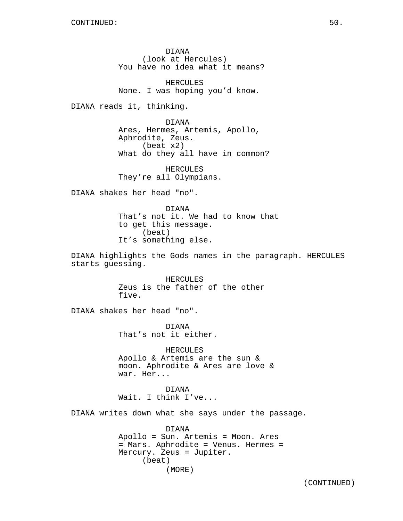DIANA (look at Hercules) You have no idea what it means?

HERCULES None. I was hoping you'd know.

DIANA reads it, thinking.

DIANA Ares, Hermes, Artemis, Apollo, Aphrodite, Zeus. (beat x2) What do they all have in common?

HERCULES They're all Olympians.

DIANA shakes her head "no".

DIANA That's not it. We had to know that to get this message. (beat) It's something else.

DIANA highlights the Gods names in the paragraph. HERCULES starts guessing.

> HERCULES Zeus is the father of the other five.

DIANA shakes her head "no".

DIANA That's not it either.

HERCULES Apollo & Artemis are the sun & moon. Aphrodite & Ares are love & war. Her...

DIANA Wait. I think I've...

DIANA writes down what she says under the passage.

DIANA Apollo = Sun. Artemis = Moon. Ares = Mars. Aphrodite = Venus. Hermes = Mercury. Zeus = Jupiter. (beat) (MORE)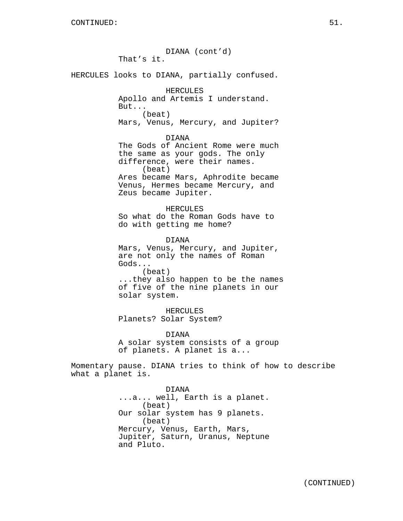DIANA (cont'd) That's it. HERCULES looks to DIANA, partially confused. HERCULES Apollo and Artemis I understand. But... (beat) Mars, Venus, Mercury, and Jupiter? DIANA The Gods of Ancient Rome were much the same as your gods. The only difference, were their names. (beat) Ares became Mars, Aphrodite became Venus, Hermes became Mercury, and Zeus became Jupiter. HERCULES So what do the Roman Gods have to do with getting me home? DIANA Mars, Venus, Mercury, and Jupiter, are not only the names of Roman Gods... (beat) ...they also happen to be the names of five of the nine planets in our solar system. HERCULES Planets? Solar System? DIANA A solar system consists of a group of planets. A planet is a... Momentary pause. DIANA tries to think of how to describe what a planet is. DIANA ...a... well, Earth is a planet. (beat) Our solar system has 9 planets. (beat) Mercury, Venus, Earth, Mars, Jupiter, Saturn, Uranus, Neptune

and Pluto.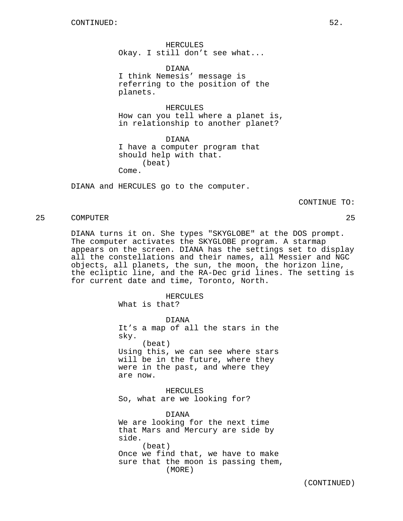HERCULES Okay. I still don't see what...

DIANA I think Nemesis' message is referring to the position of the planets.

HERCULES How can you tell where a planet is, in relationship to another planet?

DIANA I have a computer program that should help with that. (beat) Come.

DIANA and HERCULES go to the computer.

CONTINUE TO:

# 25 COMPUTER 25

DIANA turns it on. She types "SKYGLOBE" at the DOS prompt. The computer activates the SKYGLOBE program. A starmap appears on the screen. DIANA has the settings set to display all the constellations and their names, all Messier and NGC objects, all planets, the sun, the moon, the horizon line, the ecliptic line, and the RA-Dec grid lines. The setting is for current date and time, Toronto, North.

HERCULES

What is that?

DIANA It's a map of all the stars in the sky. (beat) Using this, we can see where stars will be in the future, where they were in the past, and where they are now.

HERCULES So, what are we looking for?

DIANA We are looking for the next time that Mars and Mercury are side by side. (beat) Once we find that, we have to make sure that the moon is passing them, (MORE)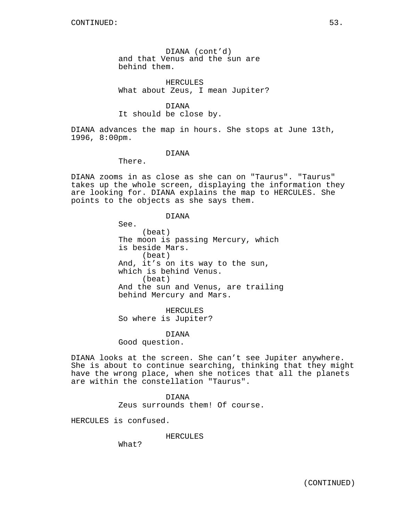DIANA (cont'd) and that Venus and the sun are behind them.

HERCULES What about Zeus, I mean Jupiter?

## DIANA

It should be close by.

DIANA advances the map in hours. She stops at June 13th, 1996, 8:00pm.

## DIANA

There.

DIANA zooms in as close as she can on "Taurus". "Taurus" takes up the whole screen, displaying the information they are looking for. DIANA explains the map to HERCULES. She points to the objects as she says them.

## DIANA

See. (beat) The moon is passing Mercury, which is beside Mars. (beat) And, it's on its way to the sun, which is behind Venus. (beat) And the sun and Venus, are trailing behind Mercury and Mars.

HERCULES So where is Jupiter?

#### DIANA

Good question.

DIANA looks at the screen. She can't see Jupiter anywhere. She is about to continue searching, thinking that they might have the wrong place, when she notices that all the planets are within the constellation "Taurus".

> DIANA Zeus surrounds them! Of course.

HERCULES is confused.

HERCULES

What?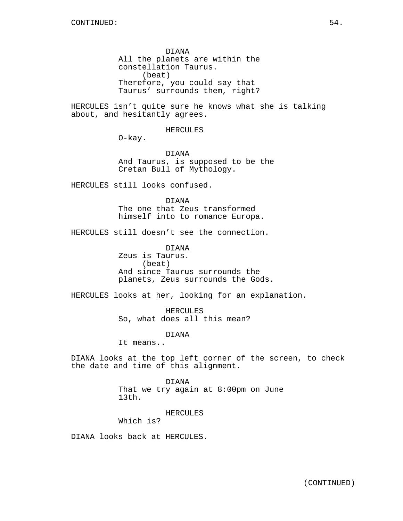DIANA All the planets are within the constellation Taurus. (beat) Therefore, you could say that Taurus' surrounds them, right?

HERCULES isn't quite sure he knows what she is talking about, and hesitantly agrees.

HERCULES

O-kay.

DIANA And Taurus, is supposed to be the Cretan Bull of Mythology.

HERCULES still looks confused.

DIANA The one that Zeus transformed

himself into to romance Europa.

HERCULES still doesn't see the connection.

DIANA Zeus is Taurus. (beat) And since Taurus surrounds the planets, Zeus surrounds the Gods.

HERCULES looks at her, looking for an explanation.

HERCULES So, what does all this mean?

DIANA

It means..

DIANA looks at the top left corner of the screen, to check the date and time of this alignment.

> DIANA That we try again at 8:00pm on June 13th.

> > HERCULES

Which is?

DIANA looks back at HERCULES.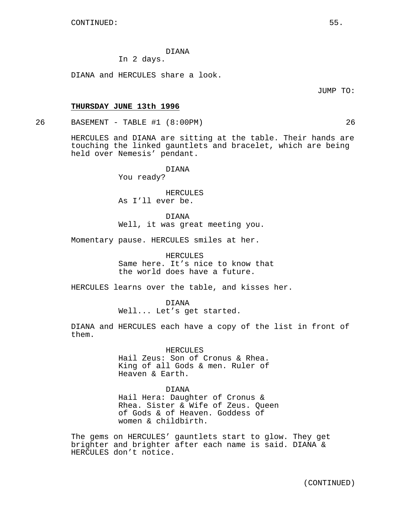# In 2 days.

DIANA and HERCULES share a look.

JUMP TO:

## **THURSDAY JUNE 13th 1996**

26 BASEMENT - TABLE #1 (8:00PM) 26

HERCULES and DIANA are sitting at the table. Their hands are touching the linked gauntlets and bracelet, which are being held over Nemesis' pendant.

DIANA

You ready?

HERCULES As I'll ever be.

DIANA Well, it was great meeting you.

Momentary pause. HERCULES smiles at her.

HERCULES Same here. It's nice to know that the world does have a future.

HERCULES learns over the table, and kisses her.

DIANA Well... Let's get started.

DIANA and HERCULES each have a copy of the list in front of them.

HERCULES

Hail Zeus: Son of Cronus & Rhea. King of all Gods & men. Ruler of Heaven & Earth.

#### DIANA

Hail Hera: Daughter of Cronus & Rhea. Sister & Wife of Zeus. Queen of Gods & of Heaven. Goddess of women & childbirth.

The gems on HERCULES' gauntlets start to glow. They get brighter and brighter after each name is said. DIANA & HERCULES don't notice.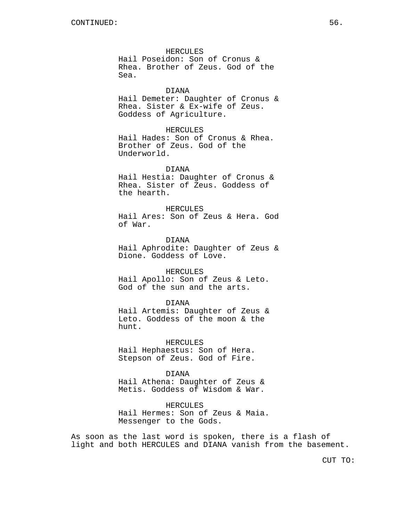# HERCULES

Hail Poseidon: Son of Cronus & Rhea. Brother of Zeus. God of the Sea.

## DIANA

Hail Demeter: Daughter of Cronus & Rhea. Sister & Ex-wife of Zeus. Goddess of Agriculture.

#### HERCULES

Hail Hades: Son of Cronus & Rhea. Brother of Zeus. God of the Underworld.

## DIANA

Hail Hestia: Daughter of Cronus & Rhea. Sister of Zeus. Goddess of the hearth.

#### HERCULES

Hail Ares: Son of Zeus & Hera. God of War.

DIANA Hail Aphrodite: Daughter of Zeus & Dione. Goddess of Love.

#### HERCULES

Hail Apollo: Son of Zeus & Leto. God of the sun and the arts.

#### DIANA

Hail Artemis: Daughter of Zeus & Leto. Goddess of the moon & the hunt.

HERCULES Hail Hephaestus: Son of Hera. Stepson of Zeus. God of Fire.

DIANA

Hail Athena: Daughter of Zeus & Metis. Goddess of Wisdom & War.

HERCULES

Hail Hermes: Son of Zeus & Maia. Messenger to the Gods.

As soon as the last word is spoken, there is a flash of light and both HERCULES and DIANA vanish from the basement.